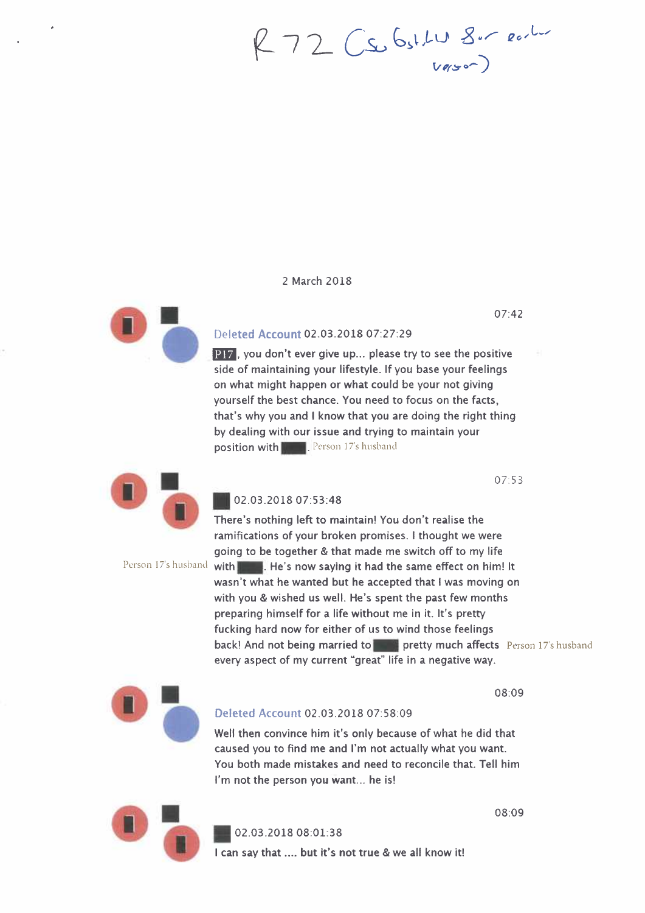72 Cs. 6.11 8.500

#### 2 March 2018



# 07:42

Deleted Account 02.03.2018 07:27:29

**P17**, you don't ever give up... please try to see the positive side of maintaining your lifestyle. If you base your feelings on what might happen or what could be your not giving yourself the best chance. You need to focus on the facts, that's why you and I know that you are doing the right thing by dealing with our issue and trying to maintain your position with **E.** Person 17's husband

07:53



## III 02.03.2018 07:53:48

There's nothing left to maintain! You don't realise the ramifications of your broken promises. I thought we were going to be together & that made me switch off to my life Person 17's husband with **the study of He's now saying it had the same effect on him! It** wasn't what he wanted but he accepted that I was moving on with you & wished us well. He's spent the past few months preparing himself for a life without me in it. It's pretty fucking hard now for either of us to wind those feelings back! And not being married to MI pretty much affects Person 17's husband every aspect of my current "great" life in a negative way.



#### Deleted Account 02.03.2018 07:58:09

Well then convince him it's only because of what he did that caused you to find me and I'm not actually what you want. You both made mistakes and need to reconcile that. Tell him I'm not the person you want... he is!



02.03.2018 08:01:38

I can say that .... but it's not true & we all know it!

08:09

08:09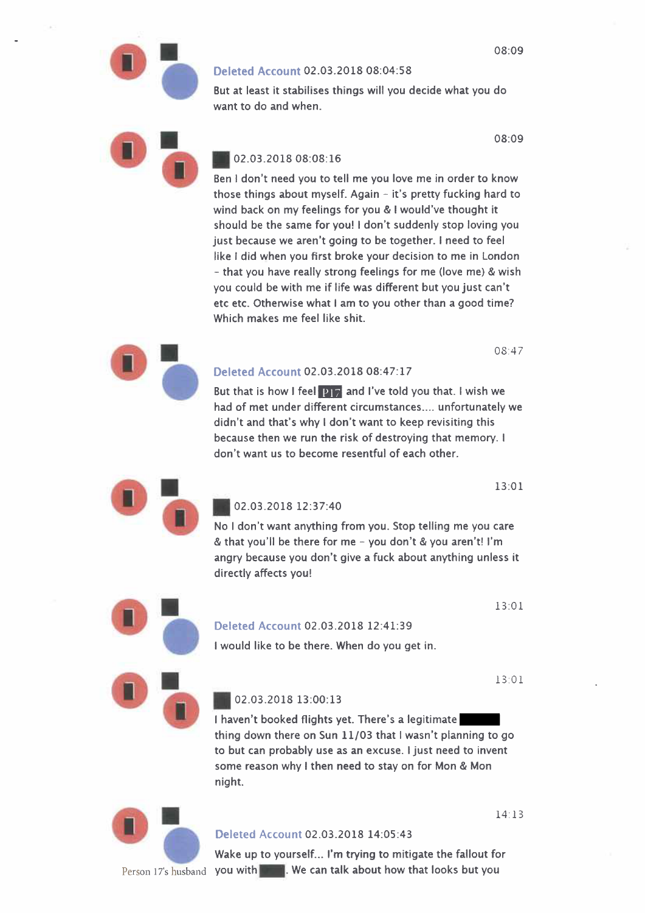#### Deleted Account 02.03.2018 08:04:58

But at least it stabilises things will you decide what you do want to do and when.

08:09

# 02.03.2018 08:08:16

Ben I don't need you to tell me you love me in order to know those things about myself. Again - it's pretty fucking hard to wind back on my feelings for you & I would've thought it should be the same for you! I don't suddenly stop loving you just because we aren't going to be together. I need to feel like I did when you first broke your decision to me in London - that you have really strong feelings for me (love me) & wish you could be with me if life was different but you just can't etc etc. Otherwise what I am to you other than a good time? Which makes me feel like shit.

08:47

### Deleted Account 02.03.2018 08:47:17

But that is how I feel **P17** and I've told you that. I wish we had of met under different circumstances.... unfortunately we didn't and that's why I don't want to keep revisiting this because then we run the risk of destroying that memory. I don't want us to become resentful of each other.

13:01



**•** 

# 02.03.2018 12:37:40

No I don't want anything from you. Stop telling me you care & that you'll be there for me - you don't & you aren't! I'm angry because you don't give a fuck about anything unless it directly affects you!

13:01

# Deleted Account 02.03.2018 12:41:39

I would like to be there. When do you get in.

13:01

# 02.03.2018 13:00:13

I haven't booked flights yet. There's a legitimate thing down there on Sun 11/03 that I wasn't planning to go to but can probably use as an excuse. I just need to invent some reason why I then need to stay on for Mon & Mon night.



# Deleted Account 02.03.2018 14:05:43

Wake up to yourself... I'm trying to mitigate the fallout for Person 17's husband you with 1111. We can talk about how that looks but you

14. 13